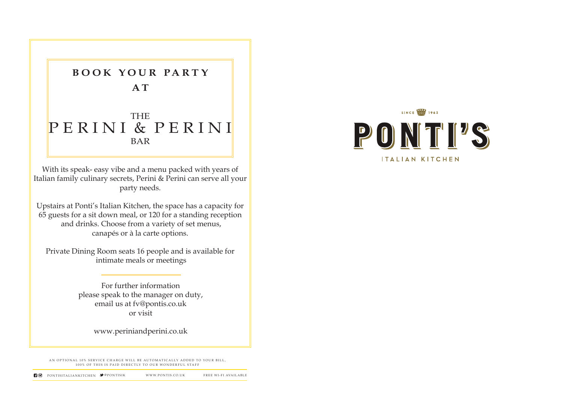AN OPTIONAL 10% SERVICE CHARGE WILL BE AUTOMATICALLY ADDED TO YOUR BILL, 100% OF THIS IS PAID DIRECTLY TO OUR WONDERFUL STAFF





## THE PERINI & PERINI BAR

For further information please speak to the manager on duty, email us at fv@pontis.co.uk or visit

www.periniandperini.co.uk

With its speak- easy vibe and a menu packed with years of Italian family culinary secrets, Perini & Perini can serve all your party needs.

Upstairs at Ponti's Italian Kitchen, the space has a capacity for 65 guests for a sit down meal, or 120 for a standing reception and drinks. Choose from a variety of set menus, canapés or à la carte options.

Private Dining Room seats 16 people and is available for intimate meals or meetings